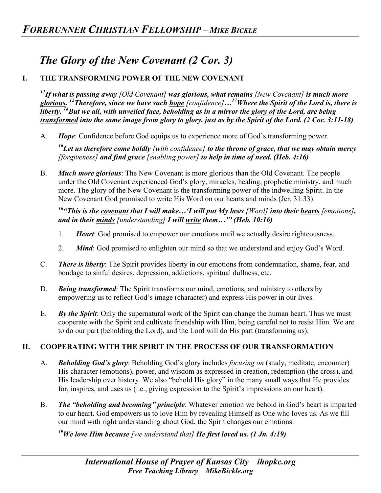## *The Glory of the New Covenant (2 Cor. 3)*

## **I. THE TRANSFORMING POWER OF THE NEW COVENANT**

*11If what is passing away [Old Covenant] was glorious, what remains [New Covenant] is much more glorious. 12Therefore, since we have such hope [confidence]…17Where the Spirit of the Lord is, there is liberty. 18But we all, with unveiled face, beholding as in a mirror the glory of the Lord, are being transformed into the same image from glory to glory, just as by the Spirit of the Lord. (2 Cor. 3:11-18)*

A. *Hope*: Confidence before God equips us to experience more of God's transforming power.

*16Let us therefore come boldly [with confidence] to the throne of grace, that we may obtain mercy [forgiveness] and find grace [enabling power] to help in time of need. (Heb. 4:16)*

B. *Much more glorious*: The New Covenant is more glorious than the Old Covenant. The people under the Old Covenant experienced God's glory, miracles, healing, prophetic ministry, and much more. The glory of the New Covenant is the transforming power of the indwelling Spirit. In the New Covenant God promised to write His Word on our hearts and minds (Jer. 31:33).

*16"This is the covenant that I will make…'I will put My laws [Word] into their hearts [emotions], and in their minds [understanding] I will write them…'" (Heb. 10:16)* 

- 1. *Heart*: God promised to empower our emotions until we actually desire righteousness.
- 2. *Mind*: God promised to enlighten our mind so that we understand and enjoy God's Word.
- C. *There is liberty*: The Spirit provides liberty in our emotions from condemnation, shame, fear, and bondage to sinful desires, depression, addictions, spiritual dullness, etc.
- D. *Being transformed*: The Spirit transforms our mind, emotions, and ministry to others by empowering us to reflect God's image (character) and express His power in our lives.
- E. *By the Spirit*: Only the supernatural work of the Spirit can change the human heart. Thus we must cooperate with the Spirit and cultivate friendship with Him, being careful not to resist Him. We are to do our part (beholding the Lord), and the Lord will do His part (transforming us).

## **II. COOPERATING WITH THE SPIRIT IN THE PROCESS OF OUR TRANSFORMATION**

- A. *Beholding God's glory*: Beholding God's glory includes *focusing on* (study, meditate, encounter) His character (emotions), power, and wisdom as expressed in creation, redemption (the cross), and His leadership over history. We also "behold His glory" in the many small ways that He provides for, inspires, and uses us (i.e., giving expression to the Spirit's impressions on our heart).
- B. *The "beholding and becoming" principle*: Whatever emotion we behold in God's heart is imparted to our heart. God empowers us to love Him by revealing Himself as One who loves us. As we fill our mind with right understanding about God, the Spirit changes our emotions.

*19We love Him because [we understand that] He first loved us. (1 Jn. 4:19)*